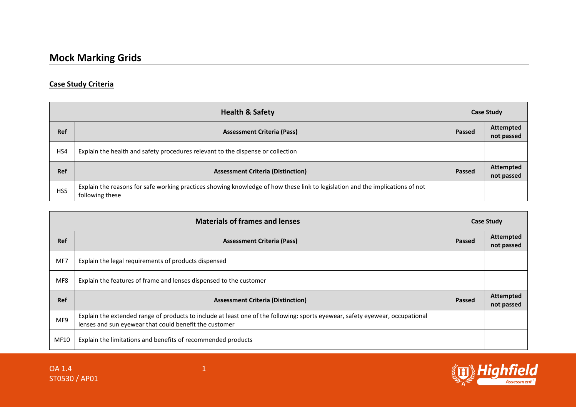## **Case Study Criteria**

| <b>Health &amp; Safety</b> |                                                                                                                                                  | <b>Case Study</b> |                                |
|----------------------------|--------------------------------------------------------------------------------------------------------------------------------------------------|-------------------|--------------------------------|
| <b>Ref</b>                 | <b>Assessment Criteria (Pass)</b>                                                                                                                | Passed            | Attempted<br>not passed        |
| HS4                        | Explain the health and safety procedures relevant to the dispense or collection                                                                  |                   |                                |
| <b>Ref</b>                 | <b>Assessment Criteria (Distinction)</b>                                                                                                         | Passed            | <b>Attempted</b><br>not passed |
| HS5                        | Explain the reasons for safe working practices showing knowledge of how these link to legislation and the implications of not<br>following these |                   |                                |

| <b>Materials of frames and lenses</b> |                                                                                                                                                                                         | <b>Case Study</b> |                                |
|---------------------------------------|-----------------------------------------------------------------------------------------------------------------------------------------------------------------------------------------|-------------------|--------------------------------|
| <b>Ref</b>                            | <b>Assessment Criteria (Pass)</b>                                                                                                                                                       | Passed            | <b>Attempted</b><br>not passed |
| MF7                                   | Explain the legal requirements of products dispensed                                                                                                                                    |                   |                                |
| MF8                                   | Explain the features of frame and lenses dispensed to the customer                                                                                                                      |                   |                                |
| <b>Ref</b>                            | <b>Assessment Criteria (Distinction)</b>                                                                                                                                                | <b>Passed</b>     | <b>Attempted</b><br>not passed |
| MF9                                   | Explain the extended range of products to include at least one of the following: sports eyewear, safety eyewear, occupational<br>lenses and sun eyewear that could benefit the customer |                   |                                |
| MF10                                  | Explain the limitations and benefits of recommended products                                                                                                                            |                   |                                |

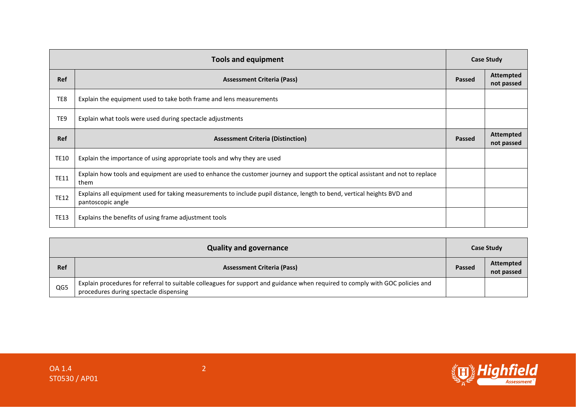| <b>Tools and equipment</b> |                                                                                                                                              | <b>Case Study</b> |                                |
|----------------------------|----------------------------------------------------------------------------------------------------------------------------------------------|-------------------|--------------------------------|
| Ref                        | <b>Assessment Criteria (Pass)</b>                                                                                                            | <b>Passed</b>     | <b>Attempted</b><br>not passed |
| TE8                        | Explain the equipment used to take both frame and lens measurements                                                                          |                   |                                |
| TE9                        | Explain what tools were used during spectacle adjustments                                                                                    |                   |                                |
| <b>Ref</b>                 | <b>Assessment Criteria (Distinction)</b>                                                                                                     | <b>Passed</b>     | <b>Attempted</b><br>not passed |
| <b>TE10</b>                | Explain the importance of using appropriate tools and why they are used                                                                      |                   |                                |
| <b>TE11</b>                | Explain how tools and equipment are used to enhance the customer journey and support the optical assistant and not to replace<br>them        |                   |                                |
| <b>TE12</b>                | Explains all equipment used for taking measurements to include pupil distance, length to bend, vertical heights BVD and<br>pantoscopic angle |                   |                                |
| <b>TE13</b>                | Explains the benefits of using frame adjustment tools                                                                                        |                   |                                |

| <b>Quality and governance</b> |                                                                                                                                                                         | <b>Case Study</b> |                                |
|-------------------------------|-------------------------------------------------------------------------------------------------------------------------------------------------------------------------|-------------------|--------------------------------|
| <b>Ref</b>                    | <b>Assessment Criteria (Pass)</b>                                                                                                                                       | Passed            | <b>Attempted</b><br>not passed |
| QG5                           | Explain procedures for referral to suitable colleagues for support and guidance when required to comply with GOC policies and<br>procedures during spectacle dispensing |                   |                                |

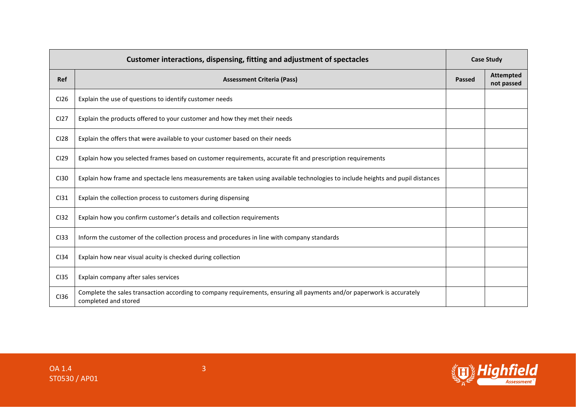| Customer interactions, dispensing, fitting and adjustment of spectacles |                                                                                                                                                | <b>Case Study</b> |                                |
|-------------------------------------------------------------------------|------------------------------------------------------------------------------------------------------------------------------------------------|-------------------|--------------------------------|
| Ref                                                                     | <b>Assessment Criteria (Pass)</b>                                                                                                              | Passed            | <b>Attempted</b><br>not passed |
| CI26                                                                    | Explain the use of questions to identify customer needs                                                                                        |                   |                                |
| CI <sub>27</sub>                                                        | Explain the products offered to your customer and how they met their needs                                                                     |                   |                                |
| <b>CI28</b>                                                             | Explain the offers that were available to your customer based on their needs                                                                   |                   |                                |
| <b>CI29</b>                                                             | Explain how you selected frames based on customer requirements, accurate fit and prescription requirements                                     |                   |                                |
| <b>CI30</b>                                                             | Explain how frame and spectacle lens measurements are taken using available technologies to include heights and pupil distances                |                   |                                |
| CI31                                                                    | Explain the collection process to customers during dispensing                                                                                  |                   |                                |
| <b>CI32</b>                                                             | Explain how you confirm customer's details and collection requirements                                                                         |                   |                                |
| CI33                                                                    | Inform the customer of the collection process and procedures in line with company standards                                                    |                   |                                |
| CI34                                                                    | Explain how near visual acuity is checked during collection                                                                                    |                   |                                |
| <b>CI35</b>                                                             | Explain company after sales services                                                                                                           |                   |                                |
| <b>CI36</b>                                                             | Complete the sales transaction according to company requirements, ensuring all payments and/or paperwork is accurately<br>completed and stored |                   |                                |